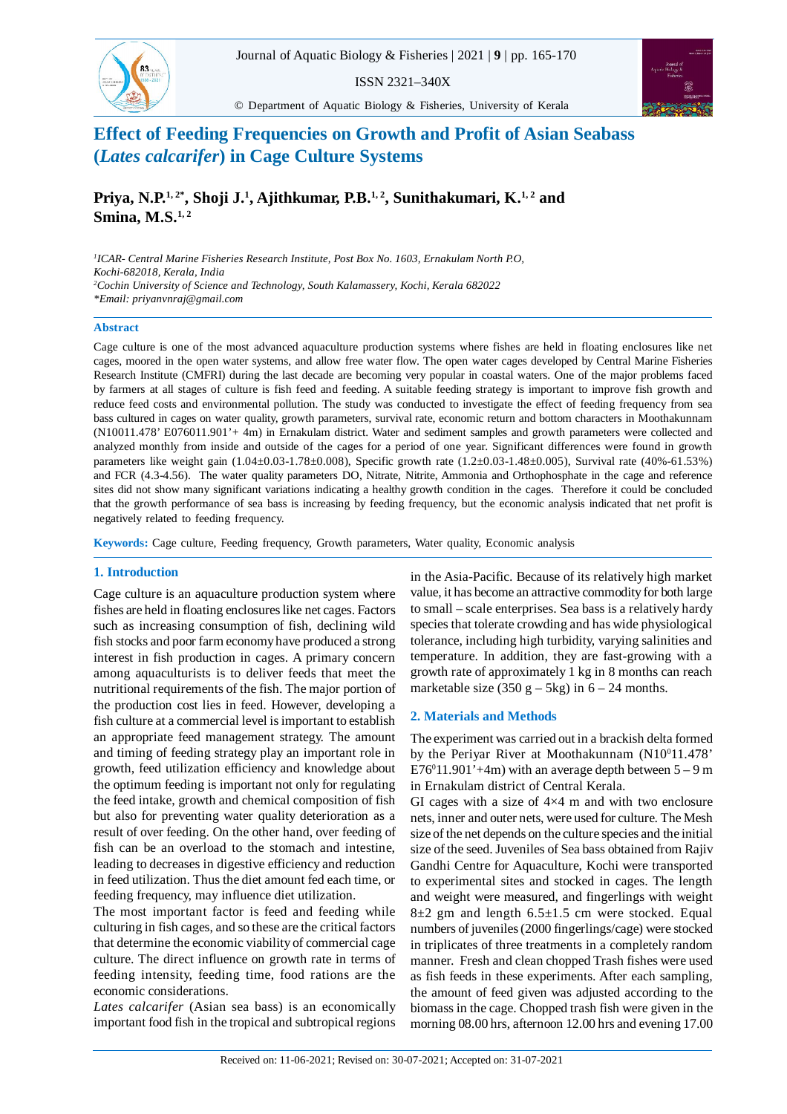

ISSN 2321–340X

© Department of Aquatic Biology & Fisheries, University of Kerala



# **Effect of Feeding Frequencies on Growth and Profit of Asian Seabass (***Lates calcarifer***) in Cage Culture Systems**

**Priya, N.P.1, 2\*, Shoji J.<sup>1</sup> , Ajithkumar, P.B.1, 2, Sunithakumari, K.1, 2 and Smina, M.S.1, 2**

*1 ICAR- Central Marine Fisheries Research Institute, Post Box No. 1603, Ernakulam North P.O, Kochi-682018, Kerala, India <sup>2</sup>Cochin University of Science and Technology, South Kalamassery, Kochi, Kerala 682022 \*Email: priyanvnraj@gmail.com*

#### **Abstract**

Cage culture is one of the most advanced aquaculture production systems where fishes are held in floating enclosures like net cages, moored in the open water systems, and allow free water flow. The open water cages developed by Central Marine Fisheries Research Institute (CMFRI) during the last decade are becoming very popular in coastal waters. One of the major problems faced by farmers at all stages of culture is fish feed and feeding. A suitable feeding strategy is important to improve fish growth and reduce feed costs and environmental pollution. The study was conducted to investigate the effect of feeding frequency from sea bass cultured in cages on water quality, growth parameters, survival rate, economic return and bottom characters in Moothakunnam (N10011.478' E076011.901'+ 4m) in Ernakulam district. Water and sediment samples and growth parameters were collected and analyzed monthly from inside and outside of the cages for a period of one year. Significant differences were found in growth parameters like weight gain (1.04±0.03-1.78±0.008), Specific growth rate (1.2±0.03-1.48±0.005), Survival rate (40%-61.53%) and FCR (4.3-4.56). The water quality parameters DO, Nitrate, Nitrite, Ammonia and Orthophosphate in the cage and reference sites did not show many significant variations indicating a healthy growth condition in the cages. Therefore it could be concluded that the growth performance of sea bass is increasing by feeding frequency, but the economic analysis indicated that net profit is negatively related to feeding frequency.

**Keywords:** Cage culture, Feeding frequency, Growth parameters, Water quality, Economic analysis

# **1. Introduction**

Cage culture is an aquaculture production system where fishes are held in floating enclosures like net cages. Factors such as increasing consumption of fish, declining wild fish stocks and poor farm economy have produced a strong interest in fish production in cages. A primary concern among aquaculturists is to deliver feeds that meet the nutritional requirements of the fish. The major portion of the production cost lies in feed. However, developing a fish culture at a commercial level is important to establish an appropriate feed management strategy. The amount and timing of feeding strategy play an important role in growth, feed utilization efficiency and knowledge about the optimum feeding is important not only for regulating the feed intake, growth and chemical composition of fish but also for preventing water quality deterioration as a result of over feeding. On the other hand, over feeding of fish can be an overload to the stomach and intestine, leading to decreases in digestive efficiency and reduction in feed utilization. Thus the diet amount fed each time, or feeding frequency, may influence diet utilization.

The most important factor is feed and feeding while culturing in fish cages, and so these are the critical factors that determine the economic viability of commercial cage culture. The direct influence on growth rate in terms of feeding intensity, feeding time, food rations are the economic considerations.

*Lates calcarifer* (Asian sea bass) is an economically important food fish in the tropical and subtropical regions in the Asia-Pacific. Because of its relatively high market value, it has become an attractive commodity for both large to small – scale enterprises. Sea bass is a relatively hardy species that tolerate crowding and has wide physiological tolerance, including high turbidity, varying salinities and temperature. In addition, they are fast-growing with a growth rate of approximately 1 kg in 8 months can reach marketable size  $(350 \text{ g} - 5 \text{ kg})$  in  $6 - 24$  months.

### **2. Materials and Methods**

The experiment was carried out in a brackish delta formed by the Periyar River at Moothakunnam (N10<sup>0</sup>11.478'  $E76^{\circ}11.901' + 4m$ ) with an average depth between  $5 - 9m$ in Ernakulam district of Central Kerala.

GI cages with a size of  $4\times4$  m and with two enclosure nets, inner and outer nets, were used for culture. The Mesh size of the net depends on the culture species and the initial size of the seed. Juveniles of Sea bass obtained from Rajiv Gandhi Centre for Aquaculture, Kochi were transported to experimental sites and stocked in cages. The length and weight were measured, and fingerlings with weight  $8\pm2$  gm and length  $6.5\pm1.5$  cm were stocked. Equal numbers of juveniles (2000 fingerlings/cage) were stocked in triplicates of three treatments in a completely random manner. Fresh and clean chopped Trash fishes were used as fish feeds in these experiments. After each sampling, the amount of feed given was adjusted according to the biomass in the cage. Chopped trash fish were given in the morning 08.00 hrs, afternoon 12.00 hrs and evening 17.00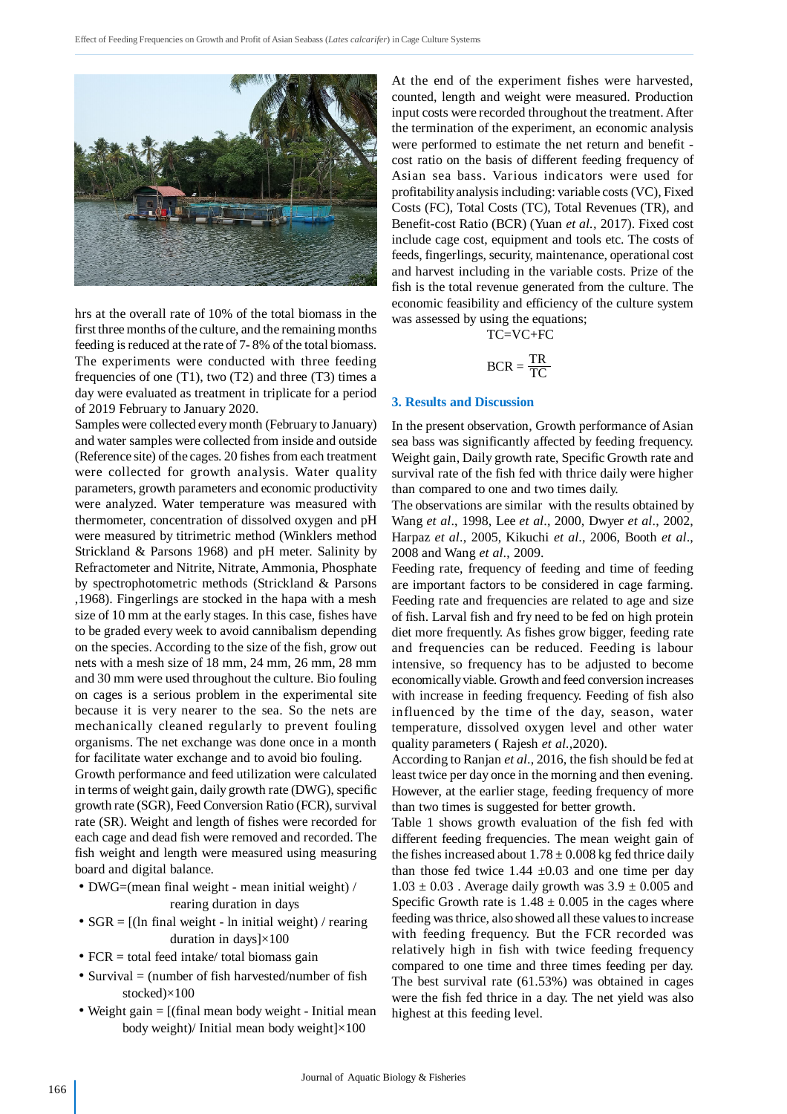

hrs at the overall rate of 10% of the total biomass in the first three months of the culture, and the remaining months feeding is reduced at the rate of 7- 8% of the total biomass. The experiments were conducted with three feeding frequencies of one  $(T1)$ , two  $(T2)$  and three  $(T3)$  times a day were evaluated as treatment in triplicate for a period of 2019 February to January 2020.

Samples were collected every month (February to January) and water samples were collected from inside and outside (Reference site) of the cages. 20 fishes from each treatment were collected for growth analysis. Water quality parameters, growth parameters and economic productivity were analyzed. Water temperature was measured with thermometer, concentration of dissolved oxygen and pH were measured by titrimetric method (Winklers method Strickland & Parsons 1968) and pH meter. Salinity by Refractometer and Nitrite, Nitrate, Ammonia, Phosphate by spectrophotometric methods (Strickland & Parsons ,1968). Fingerlings are stocked in the hapa with a mesh size of 10 mm at the early stages. In this case, fishes have to be graded every week to avoid cannibalism depending on the species. According to the size of the fish, grow out nets with a mesh size of 18 mm, 24 mm, 26 mm, 28 mm and 30 mm were used throughout the culture. Bio fouling on cages is a serious problem in the experimental site because it is very nearer to the sea. So the nets are mechanically cleaned regularly to prevent fouling organisms. The net exchange was done once in a month for facilitate water exchange and to avoid bio fouling.

Growth performance and feed utilization were calculated in terms of weight gain, daily growth rate (DWG), specific growth rate (SGR), Feed Conversion Ratio (FCR), survival rate (SR). Weight and length of fishes were recorded for each cage and dead fish were removed and recorded. The fish weight and length were measured using measuring board and digital balance.

- DWG=(mean final weight mean initial weight) / rearing duration in days
- $SGR = [(ln final weight ln initial weight) / rearing]$ duration in days]×100
- $FCR = total feed intake/ total biomass gain$
- Survival  $=$  (number of fish harvested/number of fish stocked)×100
- Weight gain = [(final mean body weight Initial mean body weight)/ Initial mean body weight]×100

At the end of the experiment fishes were harvested, counted, length and weight were measured. Production input costs were recorded throughout the treatment. After the termination of the experiment, an economic analysis were performed to estimate the net return and benefit cost ratio on the basis of different feeding frequency of Asian sea bass. Various indicators were used for profitability analysis including: variable costs (VC), Fixed Costs (FC), Total Costs (TC), Total Revenues (TR), and Benefit-cost Ratio (BCR) (Yuan *et al.,* 2017). Fixed cost include cage cost, equipment and tools etc. The costs of feeds, fingerlings, security, maintenance, operational cost and harvest including in the variable costs. Prize of the fish is the total revenue generated from the culture. The economic feasibility and efficiency of the culture system was assessed by using the equations;

TC=VC+FC

$$
BCR = \frac{TR}{TC}
$$

## **3. Results and Discussion**

In the present observation, Growth performance of Asian sea bass was significantly affected by feeding frequency. Weight gain, Daily growth rate, Specific Growth rate and survival rate of the fish fed with thrice daily were higher than compared to one and two times daily.

The observations are similar with the results obtained by Wang *et al*., 1998, Lee *et al*., 2000, Dwyer *et al*., 2002, Harpaz *et al*., 2005, Kikuchi *et al*., 2006, Booth *et al*., 2008 and Wang *et al*., 2009.

Feeding rate, frequency of feeding and time of feeding are important factors to be considered in cage farming. Feeding rate and frequencies are related to age and size of fish. Larval fish and fry need to be fed on high protein diet more frequently. As fishes grow bigger, feeding rate and frequencies can be reduced. Feeding is labour intensive, so frequency has to be adjusted to become economically viable. Growth and feed conversion increases with increase in feeding frequency. Feeding of fish also influenced by the time of the day, season, water temperature, dissolved oxygen level and other water quality parameters ( Rajesh *et al.,*2020).

According to Ranjan *et al*., 2016, the fish should be fed at least twice per day once in the morning and then evening. However, at the earlier stage, feeding frequency of more than two times is suggested for better growth.

Table 1 shows growth evaluation of the fish fed with different feeding frequencies. The mean weight gain of the fishes increased about  $1.78 \pm 0.008$  kg fed thrice daily than those fed twice  $1.44 \pm 0.03$  and one time per day  $1.03 \pm 0.03$ . Average daily growth was  $3.9 \pm 0.005$  and Specific Growth rate is  $1.48 \pm 0.005$  in the cages where feeding was thrice, also showed all these values to increase with feeding frequency. But the FCR recorded was relatively high in fish with twice feeding frequency compared to one time and three times feeding per day. The best survival rate (61.53%) was obtained in cages were the fish fed thrice in a day. The net yield was also highest at this feeding level.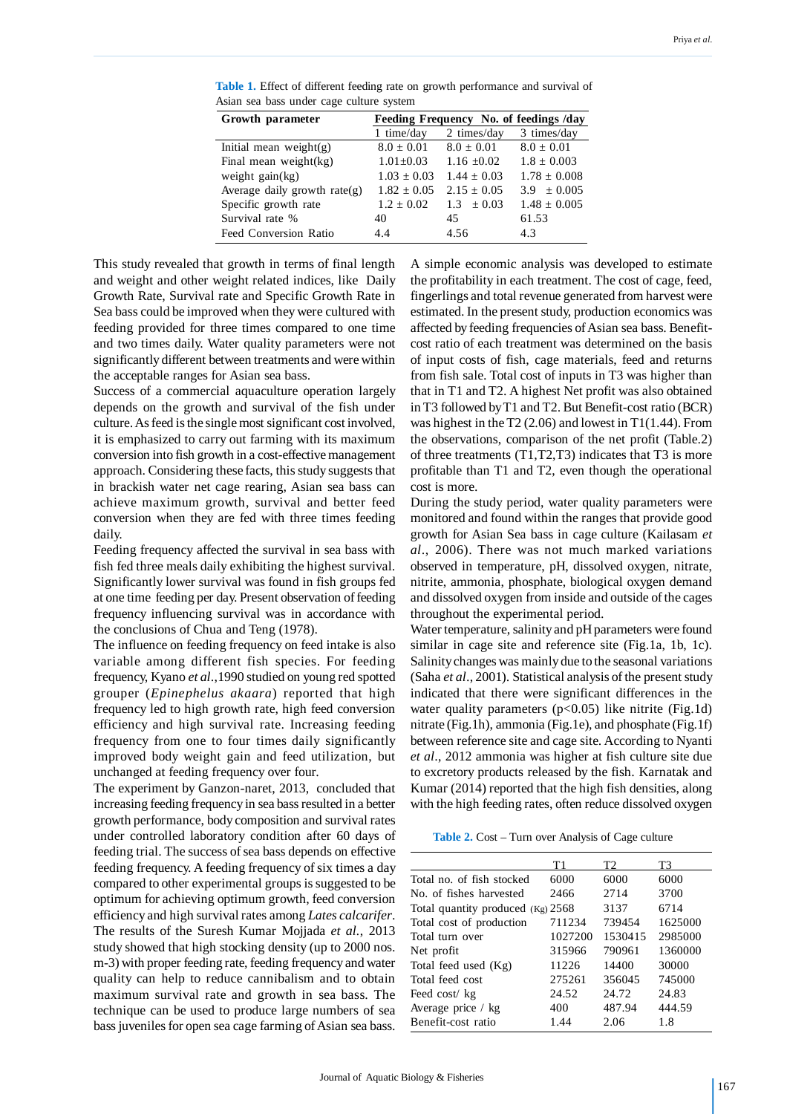| Growth parameter               | Feeding Frequency No. of feedings /day |                 |                  |
|--------------------------------|----------------------------------------|-----------------|------------------|
|                                | 1 time/day                             | 2 times/day     | 3 times/day      |
| Initial mean weight $(g)$      | $8.0 \pm 0.01$                         | $8.0 \pm 0.01$  | $8.0 \pm 0.01$   |
| Final mean weight(kg)          | $1.01 \pm 0.03$                        | $1.16 \pm 0.02$ | $1.8 \pm 0.003$  |
| weight $gain(kg)$              | $1.03 \pm 0.03$                        | $1.44 + 0.03$   | $1.78 \pm 0.008$ |
| Average daily growth $rate(g)$ | $1.82 \pm 0.05$                        | $2.15 + 0.05$   | $3.9 \pm 0.005$  |
| Specific growth rate           | $1.2 \pm 0.02$                         | $1.3 \pm 0.03$  | $1.48 \pm 0.005$ |
| Survival rate %                | 40                                     | 45              | 61.53            |
| <b>Feed Conversion Ratio</b>   | 4.4                                    | 4.56            | 4.3              |

**Table 1.** Effect of different feeding rate on growth performance and survival of Asian sea bass under cage culture system

This study revealed that growth in terms of final length and weight and other weight related indices, like Daily Growth Rate, Survival rate and Specific Growth Rate in Sea bass could be improved when they were cultured with feeding provided for three times compared to one time and two times daily. Water quality parameters were not significantly different between treatments and were within the acceptable ranges for Asian sea bass.

Success of a commercial aquaculture operation largely depends on the growth and survival of the fish under culture. As feed is the single most significant cost involved, it is emphasized to carry out farming with its maximum conversion into fish growth in a cost-effective management approach. Considering these facts, this study suggests that in brackish water net cage rearing, Asian sea bass can achieve maximum growth, survival and better feed conversion when they are fed with three times feeding daily.

Feeding frequency affected the survival in sea bass with fish fed three meals daily exhibiting the highest survival. Significantly lower survival was found in fish groups fed at one time feeding per day. Present observation of feeding frequency influencing survival was in accordance with the conclusions of Chua and Teng (1978).

The influence on feeding frequency on feed intake is also variable among different fish species. For feeding frequency, Kyano *et al*.,1990 studied on young red spotted grouper (*Epinephelus akaara*) reported that high frequency led to high growth rate, high feed conversion efficiency and high survival rate. Increasing feeding frequency from one to four times daily significantly improved body weight gain and feed utilization, but unchanged at feeding frequency over four.

The experiment by Ganzon-naret, 2013, concluded that increasing feeding frequency in sea bass resulted in a better growth performance, body composition and survival rates under controlled laboratory condition after 60 days of feeding trial. The success of sea bass depends on effective feeding frequency. A feeding frequency of six times a day compared to other experimental groups is suggested to be optimum for achieving optimum growth, feed conversion efficiency and high survival rates among *Lates calcarifer*. The results of the Suresh Kumar Mojjada *et al.*, 2013 study showed that high stocking density (up to 2000 nos. m-3) with proper feeding rate, feeding frequency and water quality can help to reduce cannibalism and to obtain maximum survival rate and growth in sea bass. The technique can be used to produce large numbers of sea bass juveniles for open sea cage farming of Asian sea bass.

A simple economic analysis was developed to estimate the profitability in each treatment. The cost of cage, feed, fingerlings and total revenue generated from harvest were estimated. In the present study, production economics was affected by feeding frequencies of Asian sea bass. Benefitcost ratio of each treatment was determined on the basis of input costs of fish, cage materials, feed and returns from fish sale. Total cost of inputs in T3 was higher than that in T1 and T2. A highest Net profit was also obtained in T3 followed by T1 and T2. But Benefit-cost ratio (BCR) was highest in the T2 (2.06) and lowest in T1(1.44). From the observations, comparison of the net profit (Table.2) of three treatments (T1,T2,T3) indicates that T3 is more profitable than T1 and T2, even though the operational cost is more.

During the study period, water quality parameters were monitored and found within the ranges that provide good growth for Asian Sea bass in cage culture (Kailasam *et al*., 2006). There was not much marked variations observed in temperature, pH, dissolved oxygen, nitrate, nitrite, ammonia, phosphate, biological oxygen demand and dissolved oxygen from inside and outside of the cages throughout the experimental period.

Water temperature, salinity and pH parameters were found similar in cage site and reference site (Fig.1a, 1b, 1c). Salinity changes was mainly due to the seasonal variations (Saha *et al*., 2001). Statistical analysis of the present study indicated that there were significant differences in the water quality parameters  $(p<0.05)$  like nitrite (Fig.1d) nitrate (Fig.1h), ammonia (Fig.1e), and phosphate (Fig.1f) between reference site and cage site. According to Nyanti *et al*., 2012 ammonia was higher at fish culture site due to excretory products released by the fish. Karnatak and Kumar (2014) reported that the high fish densities, along with the high feeding rates, often reduce dissolved oxygen

**Table 2.** Cost – Turn over Analysis of Cage culture

|                                     | Τ1      | T2      | T3      |
|-------------------------------------|---------|---------|---------|
| Total no. of fish stocked           | 6000    | 6000    | 6000    |
| No. of fishes harvested             | 2466    | 2714    | 3700    |
| Total quantity produced $(Kg)$ 2568 |         | 3137    | 6714    |
| Total cost of production            | 711234  | 739454  | 1625000 |
| Total turn over                     | 1027200 | 1530415 | 2985000 |
| Net profit                          | 315966  | 790961  | 1360000 |
| Total feed used (Kg)                | 11226   | 14400   | 30000   |
| Total feed cost                     | 275261  | 356045  | 745000  |
| Feed cost/kg                        | 24.52   | 24.72   | 24.83   |
| Average price / kg                  | 400     | 487.94  | 444.59  |
| Benefit-cost ratio                  | 1.44    | 2.06    | 1.8     |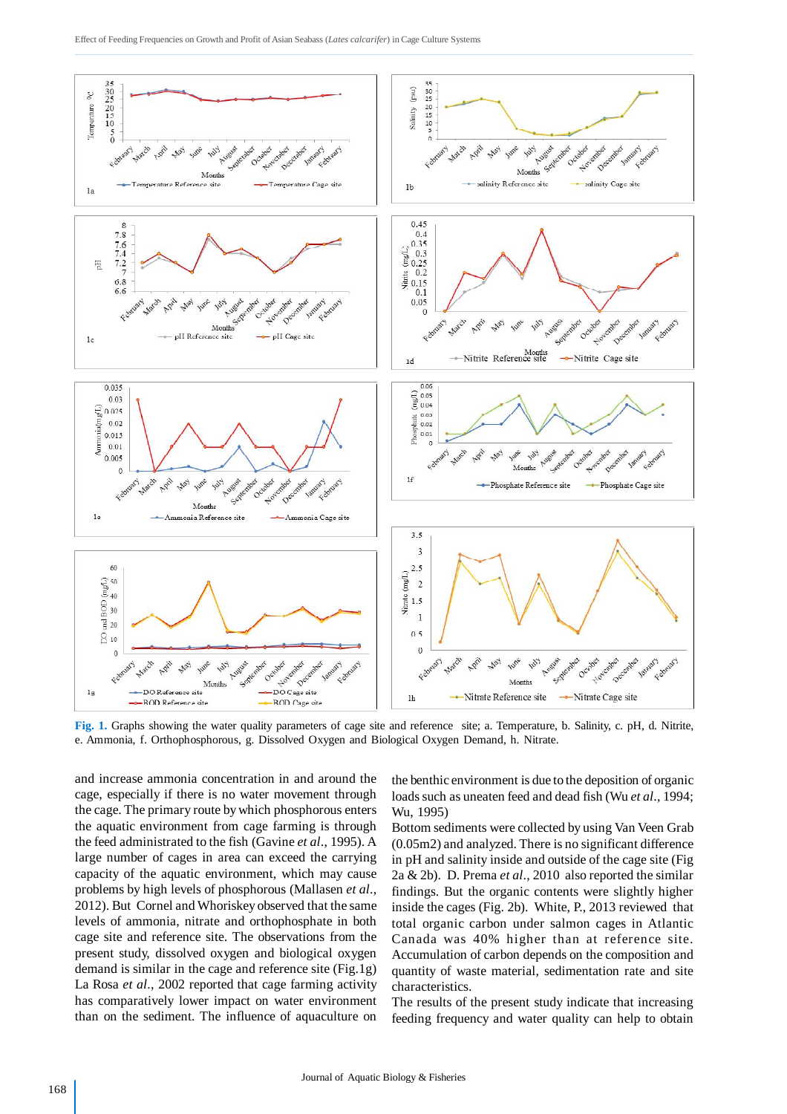

**Fig. 1.** Graphs showing the water quality parameters of cage site and reference site; a. Temperature, b. Salinity, c. pH, d. Nitrite, e. Ammonia, f. Orthophosphorous, g. Dissolved Oxygen and Biological Oxygen Demand, h. Nitrate.

and increase ammonia concentration in and around the cage, especially if there is no water movement through the cage. The primary route by which phosphorous enters the aquatic environment from cage farming is through the feed administrated to the fish (Gavine *et al*., 1995). A large number of cages in area can exceed the carrying capacity of the aquatic environment, which may cause problems by high levels of phosphorous (Mallasen *et al*., 2012). But Cornel and Whoriskey observed that the same levels of ammonia, nitrate and orthophosphate in both cage site and reference site. The observations from the present study, dissolved oxygen and biological oxygen demand is similar in the cage and reference site (Fig.1g) La Rosa *et al*., 2002 reported that cage farming activity has comparatively lower impact on water environment than on the sediment. The influence of aquaculture on the benthic environment is due to the deposition of organic loads such as uneaten feed and dead fish (Wu *et al*., 1994; Wu, 1995)

Bottom sediments were collected by using Van Veen Grab (0.05m2) and analyzed. There is no significant difference in pH and salinity inside and outside of the cage site (Fig 2a & 2b). D. Prema *et al*., 2010 also reported the similar findings. But the organic contents were slightly higher inside the cages (Fig. 2b). White, P., 2013 reviewed that total organic carbon under salmon cages in Atlantic Canada was 40% higher than at reference site. Accumulation of carbon depends on the composition and quantity of waste material, sedimentation rate and site characteristics.

The results of the present study indicate that increasing feeding frequency and water quality can help to obtain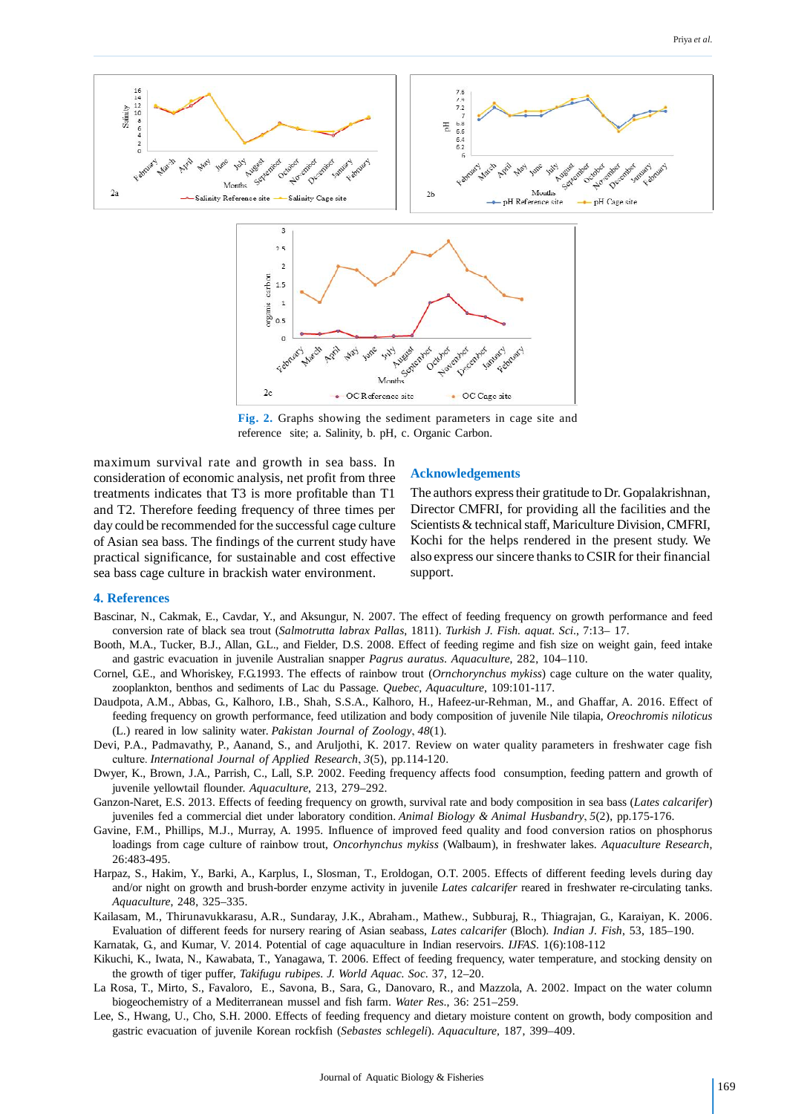

**Fig. 2.** Graphs showing the sediment parameters in cage site and reference site; a. Salinity, b. pH, c. Organic Carbon.

maximum survival rate and growth in sea bass. In consideration of economic analysis, net profit from three treatments indicates that T3 is more profitable than T1 and T2. Therefore feeding frequency of three times per day could be recommended for the successful cage culture of Asian sea bass. The findings of the current study have practical significance, for sustainable and cost effective sea bass cage culture in brackish water environment.

#### **Acknowledgements**

The authors express their gratitude to Dr. Gopalakrishnan, Director CMFRI, for providing all the facilities and the Scientists & technical staff, Mariculture Division, CMFRI, Kochi for the helps rendered in the present study. We also express our sincere thanks to CSIR for their financial support.

#### **4. References**

- Bascinar, N., Cakmak, E., Cavdar, Y., and Aksungur, N. 2007. The effect of feeding frequency on growth performance and feed conversion rate of black sea trout (*Salmotrutta labrax Pallas*, 1811). *Turkish J. Fish. aquat. Sci*., 7:13– 17.
- Booth, M.A., Tucker, B.J., Allan, G.L., and Fielder, D.S. 2008. Effect of feeding regime and fish size on weight gain, feed intake and gastric evacuation in juvenile Australian snapper *Pagrus auratus*. *Aquaculture*, 282, 104–110.
- Cornel, G.E., and Whoriskey, F.G.1993. The effects of rainbow trout (*Ornchorynchus mykiss*) cage culture on the water quality, zooplankton, benthos and sediments of Lac du Passage. *Quebec, Aquaculture*, 109:101-117.
- Daudpota, A.M., Abbas, G., Kalhoro, I.B., Shah, S.S.A., Kalhoro, H., Hafeez-ur-Rehman, M., and Ghaffar, A. 2016. Effect of feeding frequency on growth performance, feed utilization and body composition of juvenile Nile tilapia, *Oreochromis niloticus* (L.) reared in low salinity water. *Pakistan Journal of Zoology*, *48*(1).
- Devi, P.A., Padmavathy, P., Aanand, S., and Aruljothi, K. 2017. Review on water quality parameters in freshwater cage fish culture. *International Journal of Applied Research*, *3*(5), pp.114-120.
- Dwyer, K., Brown, J.A., Parrish, C., Lall, S.P. 2002. Feeding frequency affects food consumption, feeding pattern and growth of juvenile yellowtail flounder. *Aquaculture*, 213, 279–292.
- Ganzon-Naret, E.S. 2013. Effects of feeding frequency on growth, survival rate and body composition in sea bass (*Lates calcarifer*) juveniles fed a commercial diet under laboratory condition. *Animal Biology & Animal Husbandry*, *5*(2), pp.175-176.
- Gavine, F.M., Phillips, M.J., Murray, A. 1995. Influence of improved feed quality and food conversion ratios on phosphorus loadings from cage culture of rainbow trout, *Oncorhynchus mykiss* (Walbaum), in freshwater lakes. *Aquaculture Research*, 26:483-495.
- Harpaz, S., Hakim, Y., Barki, A., Karplus, I., Slosman, T., Eroldogan, O.T. 2005. Effects of different feeding levels during day and/or night on growth and brush-border enzyme activity in juvenile *Lates calcarifer* reared in freshwater re-circulating tanks. *Aquaculture*, 248, 325–335.
- Kailasam, M., Thirunavukkarasu, A.R., Sundaray, J.K., Abraham., Mathew., Subburaj, R., Thiagrajan, G., Karaiyan, K. 2006. Evaluation of different feeds for nursery rearing of Asian seabass, *Lates calcarifer* (Bloch). *Indian J. Fish*, 53, 185–190.
- Karnatak, G., and Kumar, V. 2014. Potential of cage aquaculture in Indian reservoirs. *IJFAS*. 1(6):108-112
- Kikuchi, K., Iwata, N., Kawabata, T., Yanagawa, T. 2006. Effect of feeding frequency, water temperature, and stocking density on the growth of tiger puffer, *Takifugu rubipes*. *J. World Aquac. Soc*. 37, 12–20.
- La Rosa, T., Mirto, S., Favaloro, E., Savona, B., Sara, G., Danovaro, R., and Mazzola, A. 2002. Impact on the water column biogeochemistry of a Mediterranean mussel and fish farm. *Water Res*., 36: 251–259.
- Lee, S., Hwang, U., Cho, S.H. 2000. Effects of feeding frequency and dietary moisture content on growth, body composition and gastric evacuation of juvenile Korean rockfish (*Sebastes schlegeli*). *Aquaculture,* 187, 399–409.